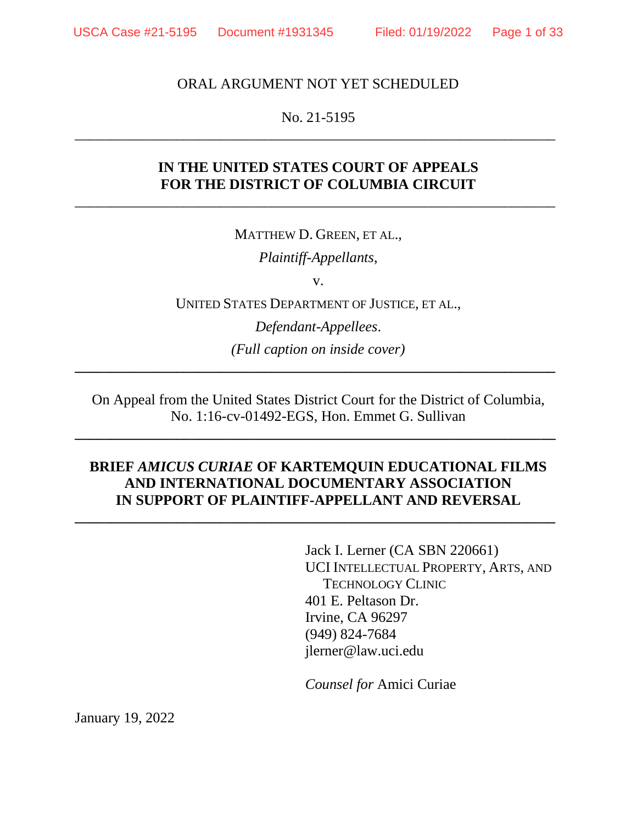#### ORAL ARGUMENT NOT YET SCHEDULED

No. 21-5195 \_\_\_\_\_\_\_\_\_\_\_\_\_\_\_\_\_\_\_\_\_\_\_\_\_\_\_\_\_\_\_\_\_\_\_\_\_\_\_\_\_\_\_\_\_\_\_\_\_\_\_\_\_\_\_\_\_\_\_\_\_\_\_\_\_\_

### **IN THE UNITED STATES COURT OF APPEALS FOR THE DISTRICT OF COLUMBIA CIRCUIT**

 $\overline{a_1}$  ,  $\overline{a_2}$  ,  $\overline{a_3}$  ,  $\overline{a_4}$  ,  $\overline{a_5}$  ,  $\overline{a_6}$  ,  $\overline{a_7}$  ,  $\overline{a_8}$  ,  $\overline{a_9}$  ,  $\overline{a_9}$  ,  $\overline{a_9}$  ,  $\overline{a_9}$  ,  $\overline{a_9}$  ,  $\overline{a_9}$  ,  $\overline{a_9}$  ,  $\overline{a_9}$  ,  $\overline{a_9}$  ,

MATTHEW D. GREEN, ET AL.,

*Plaintiff-Appellants*,

v.

UNITED STATES DEPARTMENT OF JUSTICE, ET AL.,

*Defendant-Appellees*. *(Full caption on inside cover)*

**\_\_\_\_\_\_\_\_\_\_\_\_\_\_\_\_\_\_\_\_\_\_\_\_\_\_\_\_\_\_\_\_\_\_\_\_\_\_\_\_\_\_\_\_\_\_\_\_\_\_\_\_\_\_\_\_\_\_\_\_\_\_\_\_\_\_**

On Appeal from the United States District Court for the District of Columbia, No. 1:16-cv-01492-EGS, Hon. Emmet G. Sullivan

**\_\_\_\_\_\_\_\_\_\_\_\_\_\_\_\_\_\_\_\_\_\_\_\_\_\_\_\_\_\_\_\_\_\_\_\_\_\_\_\_\_\_\_\_\_\_\_\_\_\_\_\_\_\_\_\_\_\_\_\_\_\_\_\_\_\_**

### **BRIEF** *AMICUS CURIAE* **OF KARTEMQUIN EDUCATIONAL FILMS AND INTERNATIONAL DOCUMENTARY ASSOCIATION IN SUPPORT OF PLAINTIFF-APPELLANT AND REVERSAL**

**\_\_\_\_\_\_\_\_\_\_\_\_\_\_\_\_\_\_\_\_\_\_\_\_\_\_\_\_\_\_\_\_\_\_\_\_\_\_\_\_\_\_\_\_\_\_\_\_\_\_\_\_\_\_\_\_\_\_\_\_\_\_\_\_\_\_**

Jack I. Lerner (CA SBN 220661) UCI INTELLECTUAL PROPERTY, ARTS, AND TECHNOLOGY CLINIC 401 E. Peltason Dr. Irvine, CA 96297 (949) 824-7684 jlerner@law.uci.edu

*Counsel for* Amici Curiae

January 19, 2022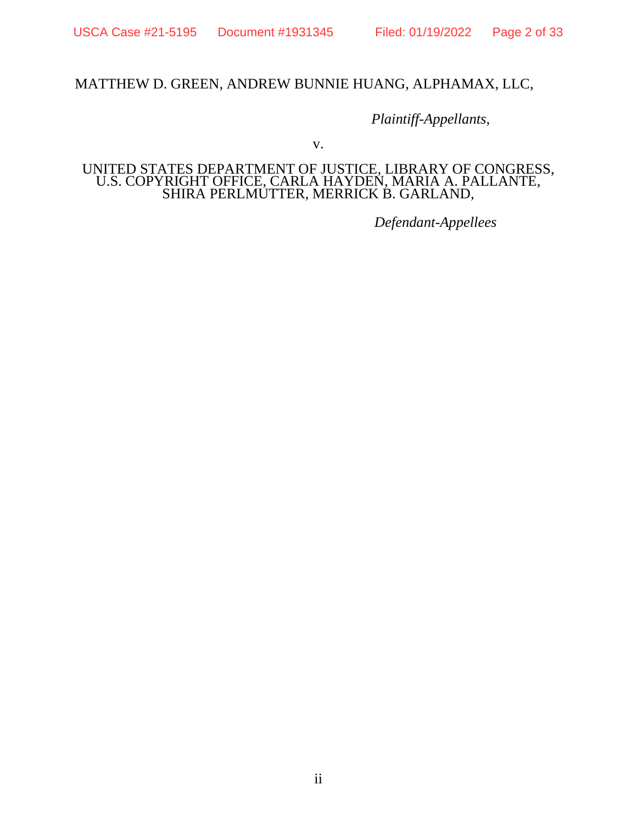#### MATTHEW D. GREEN, ANDREW BUNNIE HUANG, ALPHAMAX, LLC,

*Plaintiff-Appellants*,

v.

#### UNITED STATES DEPARTMENT OF JUSTICE, LIBRARY OF CONGRESS, U.S. COPYRIGHT OFFICE, CARLA HAYDEN, MARIA A. PALLANTE, SHIRA PERLMUTTER, MERRICK B. GARLAND,

*Defendant-Appellees*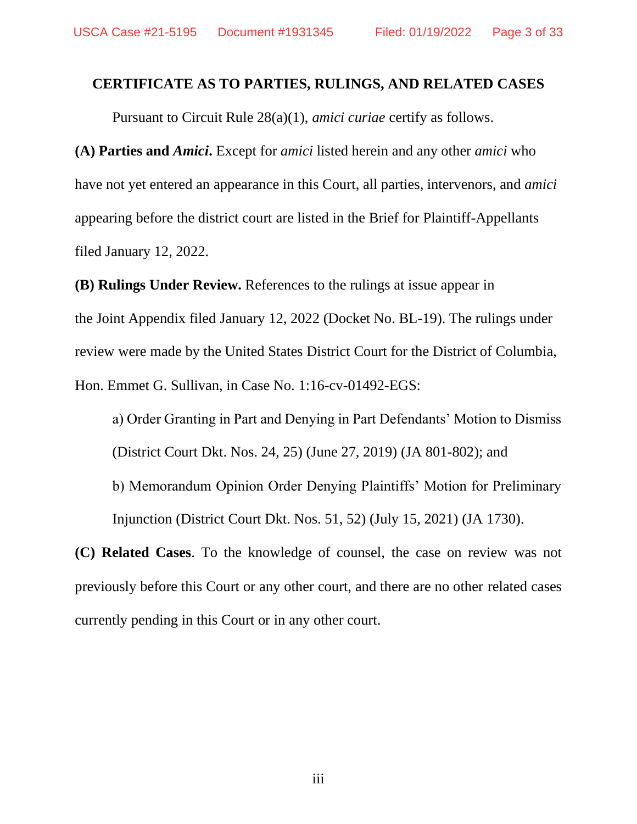#### <span id="page-2-0"></span>**CERTIFICATE AS TO PARTIES, RULINGS, AND RELATED CASES**

Pursuant to Circuit Rule 28(a)(1), *amici curiae* certify as follows.

**(A) Parties and** *Amici***.** Except for *amici* listed herein and any other *amici* who have not yet entered an appearance in this Court, all parties, intervenors, and *amici* appearing before the district court are listed in the Brief for Plaintiff-Appellants filed January 12, 2022.

**(B) Rulings Under Review.** References to the rulings at issue appear in the Joint Appendix filed January 12, 2022 (Docket No. BL-19). The rulings under review were made by the United States District Court for the District of Columbia, Hon. Emmet G. Sullivan, in Case No. 1:16-cv-01492-EGS:

a) Order Granting in Part and Denying in Part Defendants' Motion to Dismiss (District Court Dkt. Nos. 24, 25) (June 27, 2019) (JA 801-802); and b) Memorandum Opinion Order Denying Plaintiffs' Motion for Preliminary Injunction (District Court Dkt. Nos. 51, 52) (July 15, 2021) (JA 1730).

**(C) Related Cases**. To the knowledge of counsel, the case on review was not previously before this Court or any other court, and there are no other related cases currently pending in this Court or in any other court.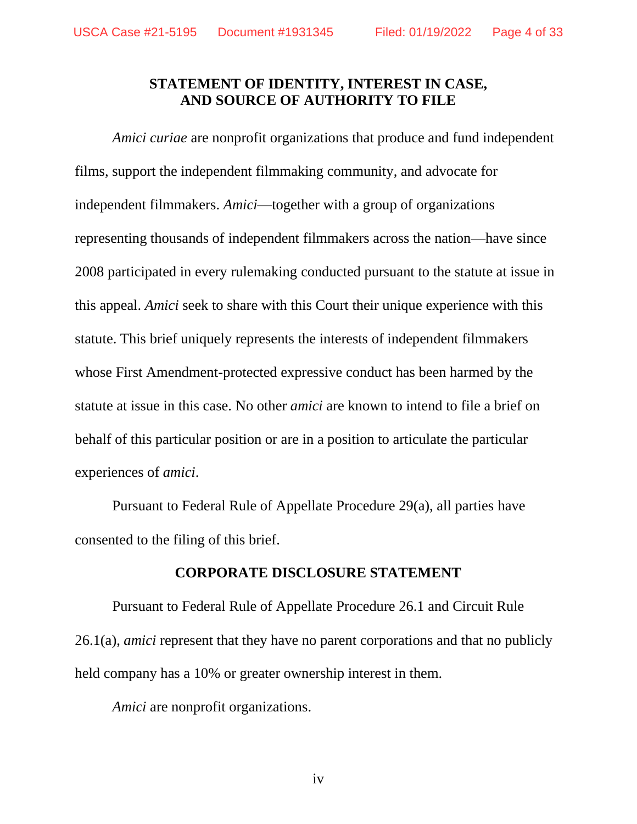#### **STATEMENT OF IDENTITY, INTEREST IN CASE, AND SOURCE OF AUTHORITY TO FILE**

<span id="page-3-0"></span>*Amici curiae* are nonprofit organizations that produce and fund independent films, support the independent filmmaking community, and advocate for independent filmmakers. *Amici*—together with a group of organizations representing thousands of independent filmmakers across the nation—have since 2008 participated in every rulemaking conducted pursuant to the statute at issue in this appeal. *Amici* seek to share with this Court their unique experience with this statute. This brief uniquely represents the interests of independent filmmakers whose First Amendment-protected expressive conduct has been harmed by the statute at issue in this case. No other *amici* are known to intend to file a brief on behalf of this particular position or are in a position to articulate the particular experiences of *amici*.

Pursuant to Federal Rule of Appellate Procedure 29(a), all parties have consented to the filing of this brief.

#### **CORPORATE DISCLOSURE STATEMENT**

<span id="page-3-1"></span>Pursuant to Federal Rule of Appellate Procedure 26.1 and Circuit Rule 26.1(a), *amici* represent that they have no parent corporations and that no publicly held company has a 10% or greater ownership interest in them.

*Amici* are nonprofit organizations.

iv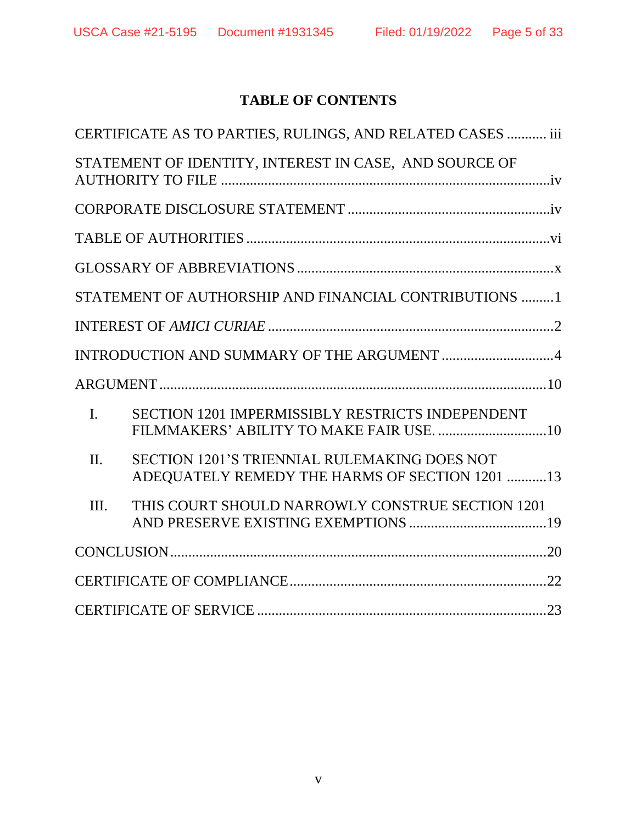# **TABLE OF CONTENTS**

|                | CERTIFICATE AS TO PARTIES, RULINGS, AND RELATED CASES  iii                                            |
|----------------|-------------------------------------------------------------------------------------------------------|
|                | STATEMENT OF IDENTITY, INTEREST IN CASE, AND SOURCE OF                                                |
|                |                                                                                                       |
|                |                                                                                                       |
|                |                                                                                                       |
|                | STATEMENT OF AUTHORSHIP AND FINANCIAL CONTRIBUTIONS 1                                                 |
|                |                                                                                                       |
|                |                                                                                                       |
|                |                                                                                                       |
| $\mathbf{I}$ . | <b>SECTION 1201 IMPERMISSIBLY RESTRICTS INDEPENDENT</b>                                               |
| $\Pi$ .        | <b>SECTION 1201'S TRIENNIAL RULEMAKING DOES NOT</b><br>ADEQUATELY REMEDY THE HARMS OF SECTION 1201 13 |
| III.           | THIS COURT SHOULD NARROWLY CONSTRUE SECTION 1201                                                      |
|                |                                                                                                       |
|                |                                                                                                       |
|                |                                                                                                       |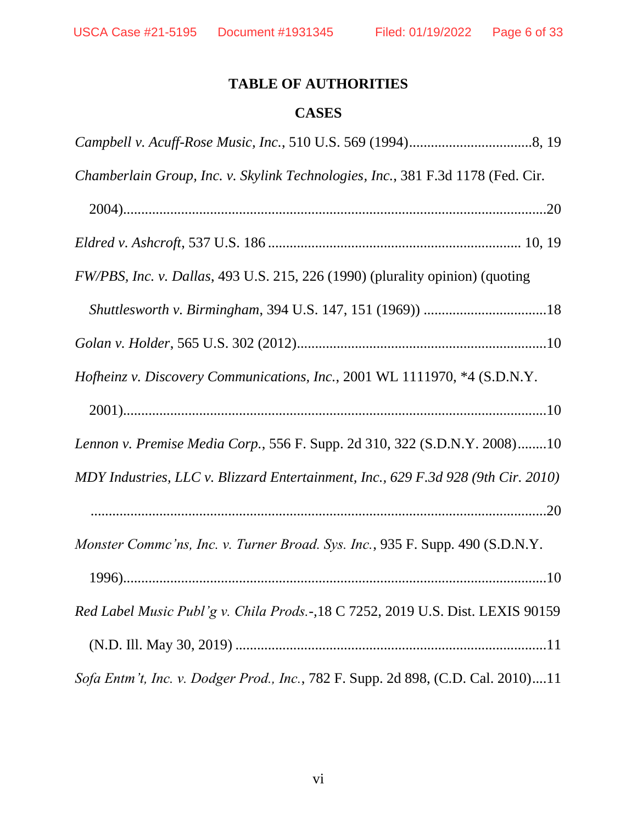# **TABLE OF AUTHORITIES**

### **CASES**

<span id="page-5-0"></span>

| Chamberlain Group, Inc. v. Skylink Technologies, Inc., 381 F.3d 1178 (Fed. Cir.   |
|-----------------------------------------------------------------------------------|
|                                                                                   |
|                                                                                   |
| FW/PBS, Inc. v. Dallas, 493 U.S. 215, 226 (1990) (plurality opinion) (quoting     |
|                                                                                   |
|                                                                                   |
| <i>Hofheinz v. Discovery Communications, Inc., 2001 WL 1111970, *4 (S.D.N.Y.</i>  |
|                                                                                   |
| Lennon v. Premise Media Corp., 556 F. Supp. 2d 310, 322 (S.D.N.Y. 2008)10         |
| MDY Industries, LLC v. Blizzard Entertainment, Inc., 629 F.3d 928 (9th Cir. 2010) |
|                                                                                   |
| Monster Commc'ns, Inc. v. Turner Broad. Sys. Inc., 935 F. Supp. 490 (S.D.N.Y.     |
|                                                                                   |
| Red Label Music Publ'g v. Chila Prods.-, 18 C 7252, 2019 U.S. Dist. LEXIS 90159   |
|                                                                                   |
| Sofa Entm't, Inc. v. Dodger Prod., Inc., 782 F. Supp. 2d 898, (C.D. Cal. 2010)11  |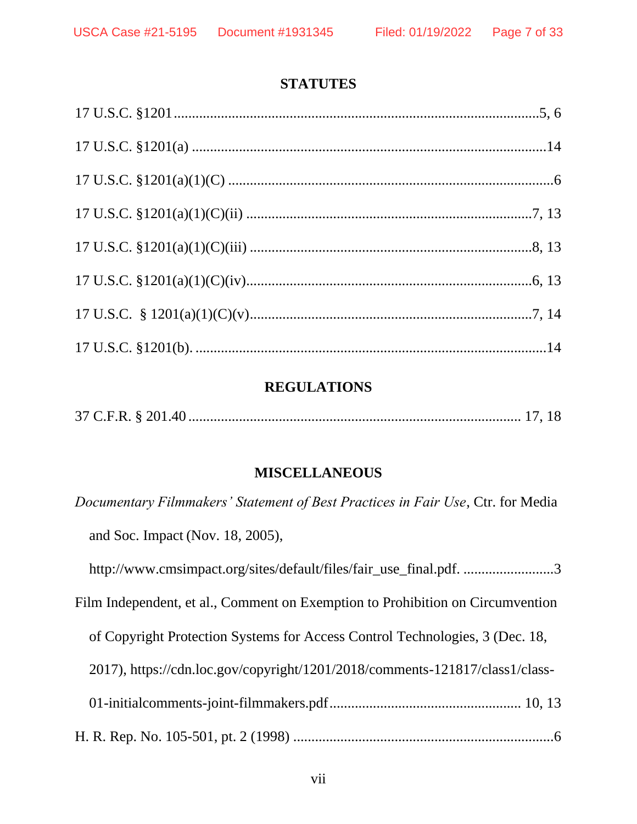#### **STATUTES**

#### **REGULATIONS**

|--|--|--|--|--|

#### **MISCELLANEOUS**

*Documentary Filmmakers' Statement of Best Practices in Fair Use*, Ctr. for Media and Soc. Impact (Nov. 18, 2005),

http://www.cmsimpact.org/sites/default/files/fair\_use\_final.pdf. .........................3

Film Independent, et al., Comment on Exemption to Prohibition on Circumvention

of Copyright Protection Systems for Access Control Technologies, 3 (Dec. 18,

2017), https://cdn.loc.gov/copyright/1201/2018/comments-121817/class1/class-

- 01-initialcomments-joint-filmmakers.pdf..................................................... 10, 13
- H. R. Rep. No. 105-501, pt. 2 (1998) ........................................................................6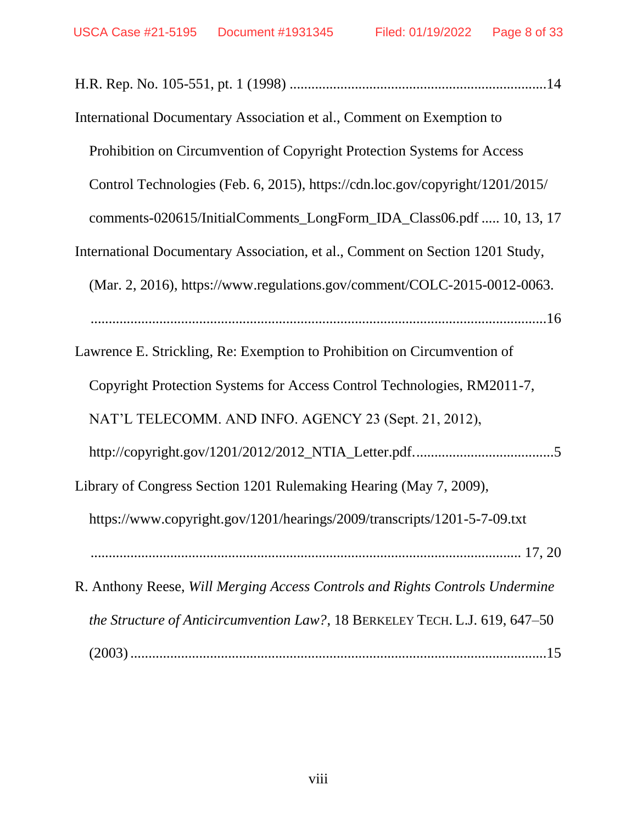| International Documentary Association et al., Comment on Exemption to         |
|-------------------------------------------------------------------------------|
| Prohibition on Circumvention of Copyright Protection Systems for Access       |
| Control Technologies (Feb. 6, 2015), https://cdn.loc.gov/copyright/1201/2015/ |
| comments-020615/InitialComments_LongForm_IDA_Class06.pdf  10, 13, 17          |
| International Documentary Association, et al., Comment on Section 1201 Study, |
| (Mar. 2, 2016), https://www.regulations.gov/comment/COLC-2015-0012-0063.      |
|                                                                               |
| Lawrence E. Strickling, Re: Exemption to Prohibition on Circumvention of      |
| Copyright Protection Systems for Access Control Technologies, RM2011-7,       |
| NAT'L TELECOMM. AND INFO. AGENCY 23 (Sept. 21, 2012),                         |
|                                                                               |
| Library of Congress Section 1201 Rulemaking Hearing (May 7, 2009),            |
| https://www.copyright.gov/1201/hearings/2009/transcripts/1201-5-7-09.txt      |
|                                                                               |
| R. Anthony Reese, Will Merging Access Controls and Rights Controls Undermine  |
| the Structure of Anticircumvention Law?, 18 BERKELEY TECH. L.J. 619, 647-50   |
|                                                                               |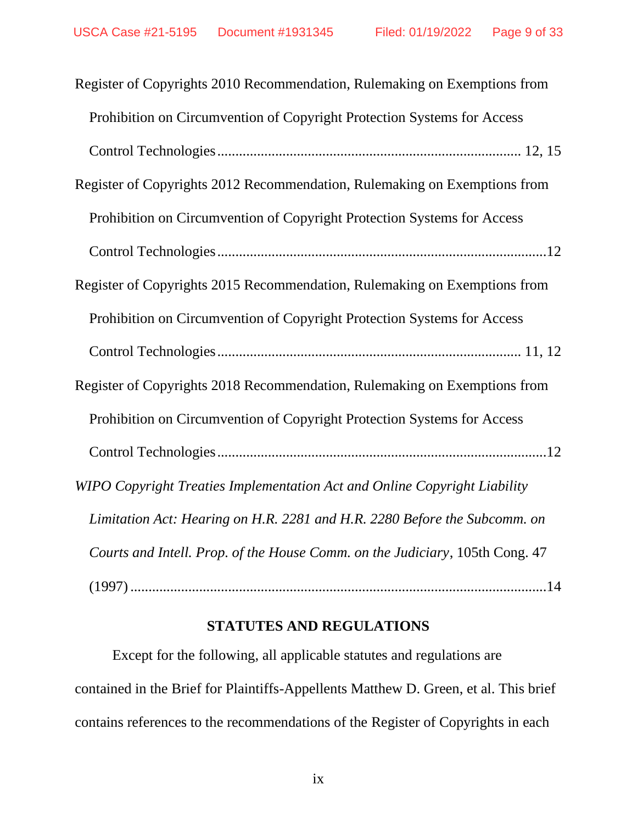| Register of Copyrights 2010 Recommendation, Rulemaking on Exemptions from    |
|------------------------------------------------------------------------------|
| Prohibition on Circumvention of Copyright Protection Systems for Access      |
|                                                                              |
| Register of Copyrights 2012 Recommendation, Rulemaking on Exemptions from    |
| Prohibition on Circumvention of Copyright Protection Systems for Access      |
|                                                                              |
| Register of Copyrights 2015 Recommendation, Rulemaking on Exemptions from    |
| Prohibition on Circumvention of Copyright Protection Systems for Access      |
|                                                                              |
| Register of Copyrights 2018 Recommendation, Rulemaking on Exemptions from    |
| Prohibition on Circumvention of Copyright Protection Systems for Access      |
|                                                                              |
| WIPO Copyright Treaties Implementation Act and Online Copyright Liability    |
| Limitation Act: Hearing on H.R. 2281 and H.R. 2280 Before the Subcomm. on    |
| Courts and Intell. Prop. of the House Comm. on the Judiciary, 105th Cong. 47 |
|                                                                              |

### **STATUTES AND REGULATIONS**

Except for the following, all applicable statutes and regulations are contained in the Brief for Plaintiffs-Appellents Matthew D. Green, et al. This brief contains references to the recommendations of the Register of Copyrights in each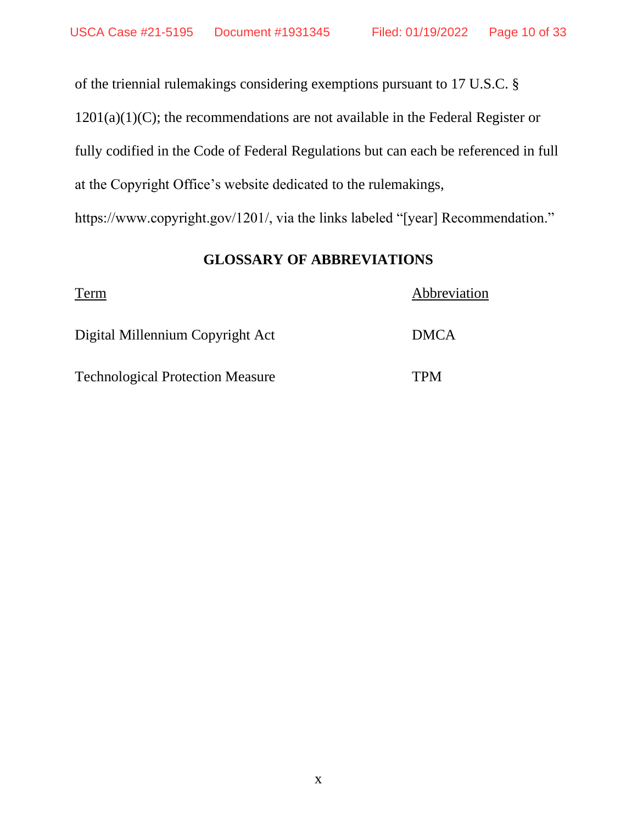of the triennial rulemakings considering exemptions pursuant to 17 U.S.C. §  $1201(a)(1)(C)$ ; the recommendations are not available in the Federal Register or fully codified in the Code of Federal Regulations but can each be referenced in full at the Copyright Office's website dedicated to the rulemakings, https://www.copyright.gov/1201/, via the links labeled "[year] Recommendation."

# <span id="page-9-1"></span>**GLOSSARY OF ABBREVIATIONS**

<span id="page-9-0"></span>

| Term                                    | Abbreviation |
|-----------------------------------------|--------------|
| Digital Millennium Copyright Act        | <b>DMCA</b>  |
| <b>Technological Protection Measure</b> | <b>TPM</b>   |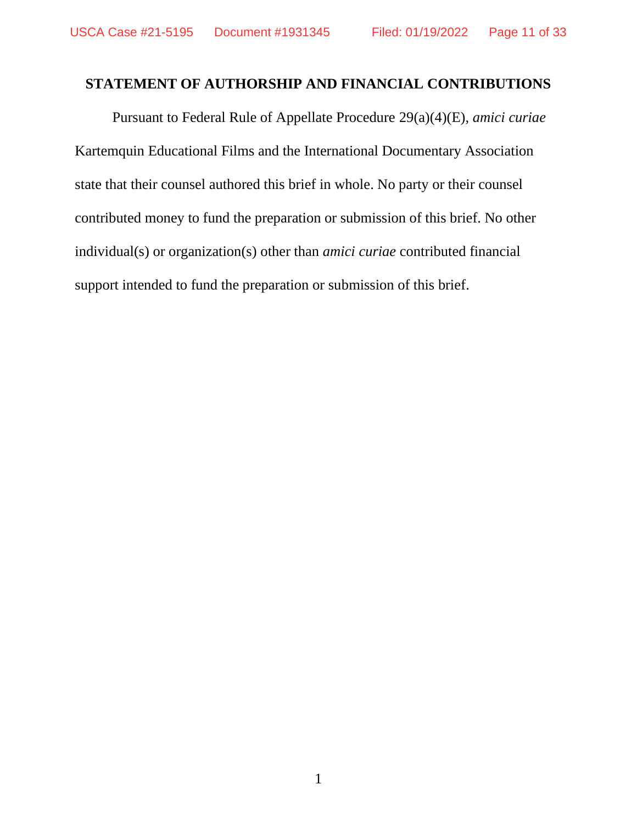### **STATEMENT OF AUTHORSHIP AND FINANCIAL CONTRIBUTIONS**

Pursuant to Federal Rule of Appellate Procedure 29(a)(4)(E), *amici curiae* Kartemquin Educational Films and the International Documentary Association state that their counsel authored this brief in whole. No party or their counsel contributed money to fund the preparation or submission of this brief. No other individual(s) or organization(s) other than *amici curiae* contributed financial support intended to fund the preparation or submission of this brief.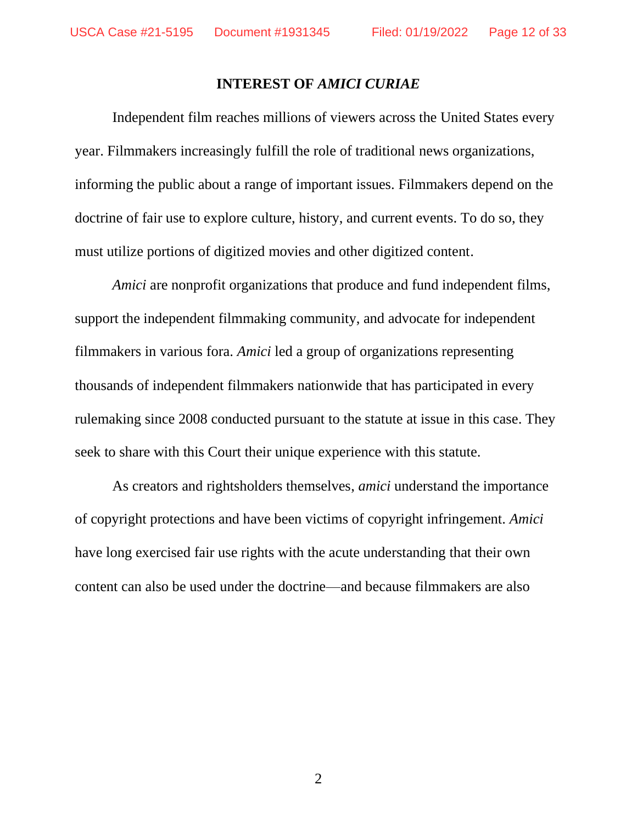#### **INTEREST OF** *AMICI CURIAE*

<span id="page-11-0"></span>Independent film reaches millions of viewers across the United States every year. Filmmakers increasingly fulfill the role of traditional news organizations, informing the public about a range of important issues. Filmmakers depend on the doctrine of fair use to explore culture, history, and current events. To do so, they must utilize portions of digitized movies and other digitized content.

*Amici* are nonprofit organizations that produce and fund independent films, support the independent filmmaking community, and advocate for independent filmmakers in various fora. *Amici* led a group of organizations representing thousands of independent filmmakers nationwide that has participated in every rulemaking since 2008 conducted pursuant to the statute at issue in this case. They seek to share with this Court their unique experience with this statute.

As creators and rightsholders themselves, *amici* understand the importance of copyright protections and have been victims of copyright infringement. *Amici* have long exercised fair use rights with the acute understanding that their own content can also be used under the doctrine—and because filmmakers are also

2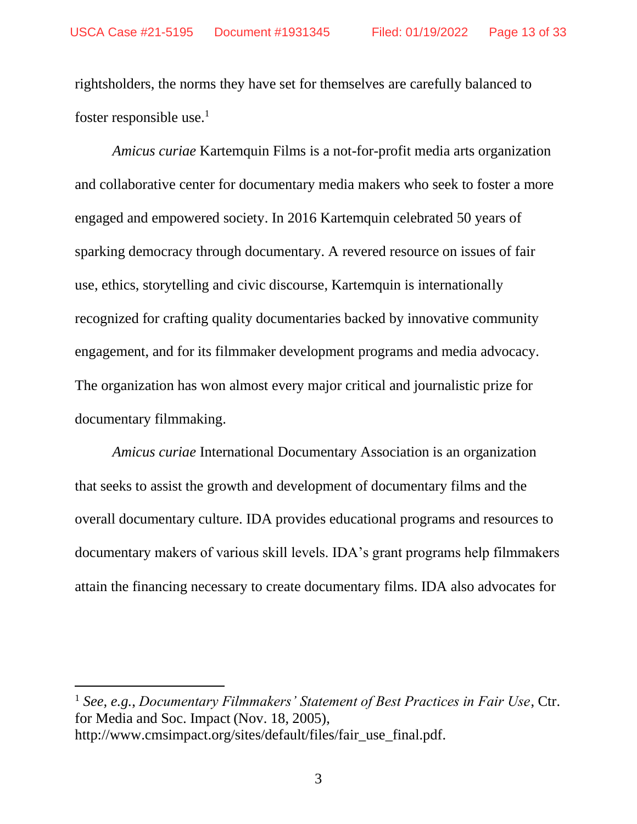rightsholders, the norms they have set for themselves are carefully balanced to foster responsible use. $<sup>1</sup>$ </sup>

*Amicus curiae* Kartemquin Films is a not-for-profit media arts organization and collaborative center for documentary media makers who seek to foster a more engaged and empowered society. In 2016 Kartemquin celebrated 50 years of sparking democracy through documentary. A revered resource on issues of fair use, ethics, storytelling and civic discourse, Kartemquin is internationally recognized for crafting quality documentaries backed by innovative community engagement, and for its filmmaker development programs and media advocacy. The organization has won almost every major critical and journalistic prize for documentary filmmaking.

*Amicus curiae* International Documentary Association is an organization that seeks to assist the growth and development of documentary films and the overall documentary culture. IDA provides educational programs and resources to documentary makers of various skill levels. IDA's grant programs help filmmakers attain the financing necessary to create documentary films. IDA also advocates for

<sup>1</sup> *See, e.g.*, *Documentary Filmmakers' Statement of Best Practices in Fair Use*, Ctr. for Media and Soc. Impact (Nov. 18, 2005), http://www.cmsimpact.org/sites/default/files/fair\_use\_final.pdf.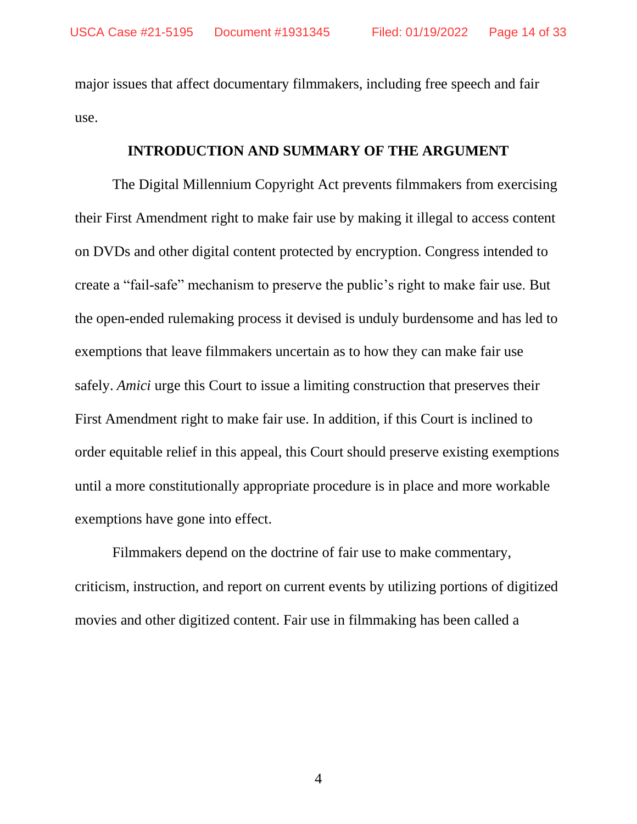major issues that affect documentary filmmakers, including free speech and fair use.

#### **INTRODUCTION AND SUMMARY OF THE ARGUMENT**

<span id="page-13-0"></span>The Digital Millennium Copyright Act prevents filmmakers from exercising their First Amendment right to make fair use by making it illegal to access content on DVDs and other digital content protected by encryption. Congress intended to create a "fail-safe" mechanism to preserve the public's right to make fair use. But the open-ended rulemaking process it devised is unduly burdensome and has led to exemptions that leave filmmakers uncertain as to how they can make fair use safely. *Amici* urge this Court to issue a limiting construction that preserves their First Amendment right to make fair use. In addition, if this Court is inclined to order equitable relief in this appeal, this Court should preserve existing exemptions until a more constitutionally appropriate procedure is in place and more workable exemptions have gone into effect.

Filmmakers depend on the doctrine of fair use to make commentary, criticism, instruction, and report on current events by utilizing portions of digitized movies and other digitized content. Fair use in filmmaking has been called a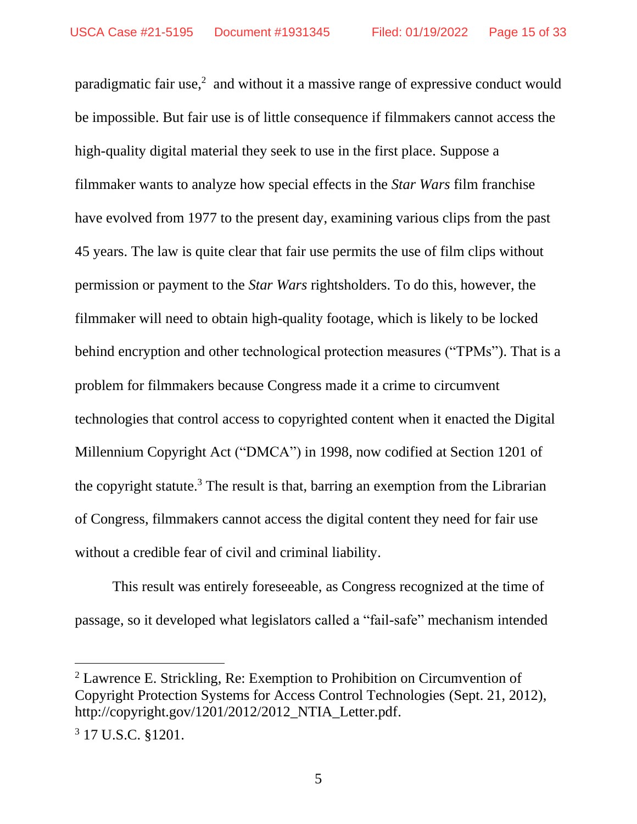paradigmatic fair use, $2$  and without it a massive range of expressive conduct would be impossible. But fair use is of little consequence if filmmakers cannot access the high-quality digital material they seek to use in the first place. Suppose a filmmaker wants to analyze how special effects in the *Star Wars* film franchise have evolved from 1977 to the present day, examining various clips from the past 45 years. The law is quite clear that fair use permits the use of film clips without permission or payment to the *Star Wars* rightsholders. To do this, however, the filmmaker will need to obtain high-quality footage, which is likely to be locked behind encryption and other technological protection measures ("TPMs"). That is a problem for filmmakers because Congress made it a crime to circumvent technologies that control access to copyrighted content when it enacted the Digital Millennium Copyright Act ("DMCA") in 1998, now codified at Section 1201 of the copyright statute.<sup>3</sup> The result is that, barring an exemption from the Librarian of Congress, filmmakers cannot access the digital content they need for fair use without a credible fear of civil and criminal liability.

This result was entirely foreseeable, as Congress recognized at the time of passage, so it developed what legislators called a "fail-safe" mechanism intended

<sup>2</sup> Lawrence E. Strickling, Re: Exemption to Prohibition on Circumvention of Copyright Protection Systems for Access Control Technologies (Sept. 21, 2012), http://copyright.gov/1201/2012/2012\_NTIA\_Letter.pdf.

<sup>3</sup> 17 U.S.C. §1201.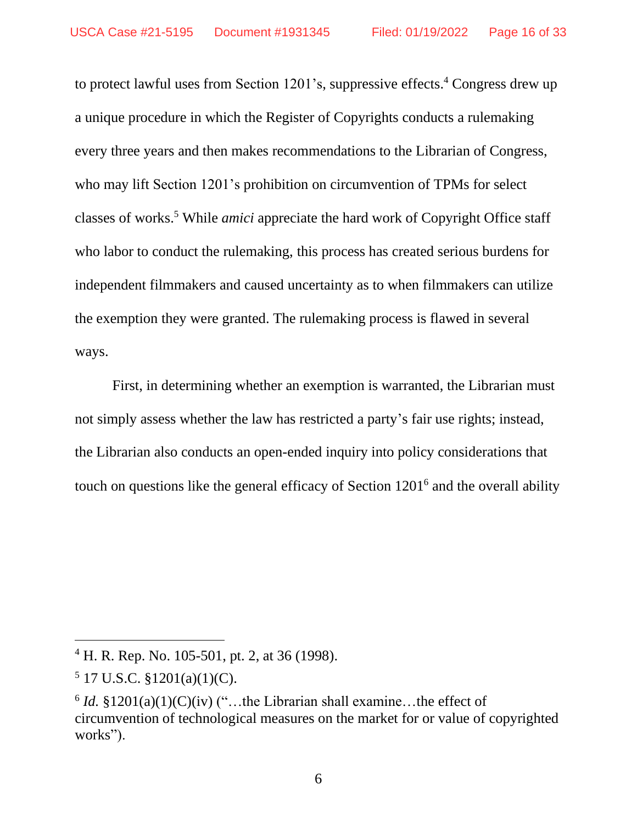to protect lawful uses from Section 1201's, suppressive effects.<sup>4</sup> Congress drew up a unique procedure in which the Register of Copyrights conducts a rulemaking every three years and then makes recommendations to the Librarian of Congress, who may lift Section 1201's prohibition on circumvention of TPMs for select classes of works. <sup>5</sup> While *amici* appreciate the hard work of Copyright Office staff who labor to conduct the rulemaking, this process has created serious burdens for independent filmmakers and caused uncertainty as to when filmmakers can utilize the exemption they were granted. The rulemaking process is flawed in several ways.

First, in determining whether an exemption is warranted, the Librarian must not simply assess whether the law has restricted a party's fair use rights; instead, the Librarian also conducts an open-ended inquiry into policy considerations that touch on questions like the general efficacy of Section 1201<sup>6</sup> and the overall ability

 $5$  17 U.S.C.  $\S$ 1201(a)(1)(C).

<sup>4</sup> H. R. Rep. No. 105-501, pt. 2, at 36 (1998).

 $6$  *Id.*  $$1201(a)(1)(C)(iv)$  ("...the Librarian shall examine...the effect of circumvention of technological measures on the market for or value of copyrighted works").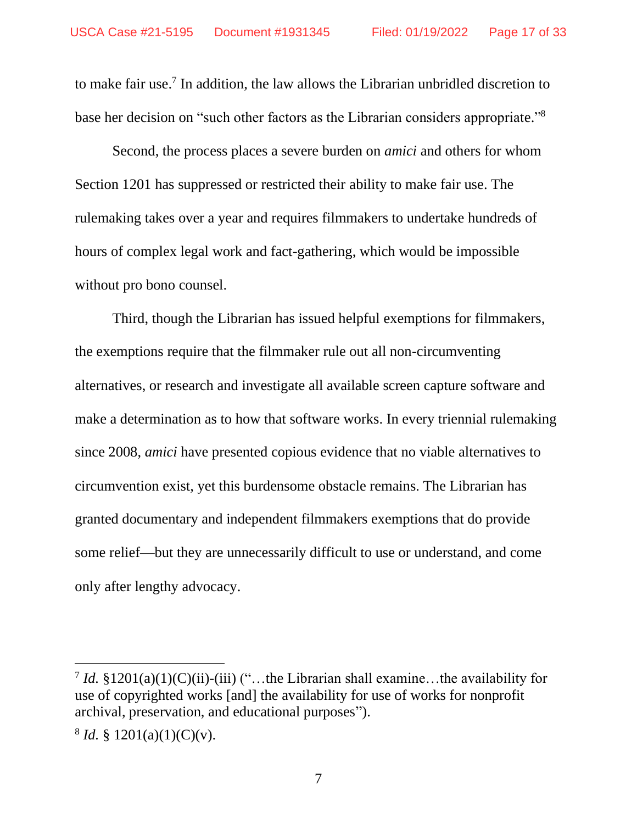to make fair use. 7 In addition, the law allows the Librarian unbridled discretion to base her decision on "such other factors as the Librarian considers appropriate."<sup>8</sup>

Second, the process places a severe burden on *amici* and others for whom Section 1201 has suppressed or restricted their ability to make fair use. The rulemaking takes over a year and requires filmmakers to undertake hundreds of hours of complex legal work and fact-gathering, which would be impossible without pro bono counsel.

Third, though the Librarian has issued helpful exemptions for filmmakers, the exemptions require that the filmmaker rule out all non-circumventing alternatives, or research and investigate all available screen capture software and make a determination as to how that software works. In every triennial rulemaking since 2008, *amici* have presented copious evidence that no viable alternatives to circumvention exist, yet this burdensome obstacle remains. The Librarian has granted documentary and independent filmmakers exemptions that do provide some relief—but they are unnecessarily difficult to use or understand, and come only after lengthy advocacy.

<sup>&</sup>lt;sup>7</sup> *Id.* §1201(a)(1)(C)(ii)-(iii) ("...the Librarian shall examine...the availability for use of copyrighted works [and] the availability for use of works for nonprofit archival, preservation, and educational purposes").

 $8 \text{ Id. } \S$  1201(a)(1)(C)(v).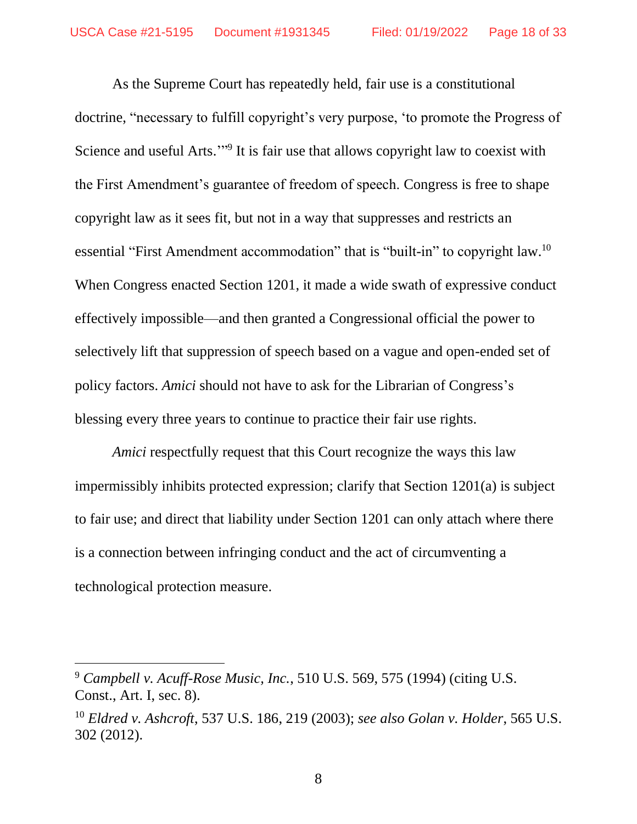As the Supreme Court has repeatedly held, fair use is a constitutional doctrine, "necessary to fulfill copyright's very purpose, 'to promote the Progress of Science and useful Arts."<sup>9</sup> It is fair use that allows copyright law to coexist with the First Amendment's guarantee of freedom of speech. Congress is free to shape copyright law as it sees fit, but not in a way that suppresses and restricts an essential "First Amendment accommodation" that is "built-in" to copyright law.<sup>10</sup> When Congress enacted Section 1201, it made a wide swath of expressive conduct effectively impossible—and then granted a Congressional official the power to selectively lift that suppression of speech based on a vague and open-ended set of policy factors. *Amici* should not have to ask for the Librarian of Congress's blessing every three years to continue to practice their fair use rights.

*Amici* respectfully request that this Court recognize the ways this law impermissibly inhibits protected expression; clarify that Section 1201(a) is subject to fair use; and direct that liability under Section 1201 can only attach where there is a connection between infringing conduct and the act of circumventing a technological protection measure.

<sup>9</sup> *Campbell v. Acuff-Rose Music, Inc.*, 510 U.S. 569, 575 (1994) (citing U.S. Const., Art. I, sec. 8).

<sup>10</sup> *Eldred v. Ashcroft*, 537 U.S. 186, 219 (2003); *see also Golan v. Holder*, 565 U.S. 302 (2012).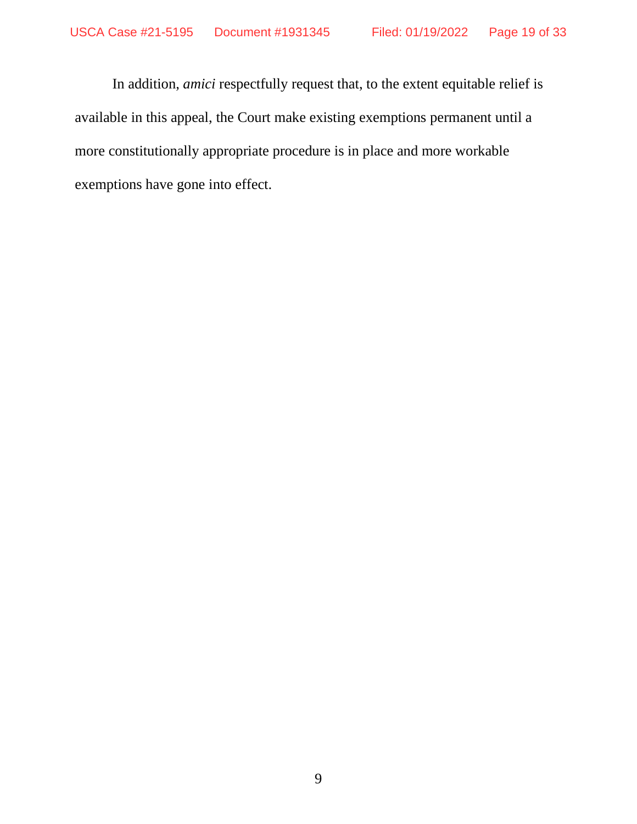In addition, *amici* respectfully request that, to the extent equitable relief is available in this appeal, the Court make existing exemptions permanent until a more constitutionally appropriate procedure is in place and more workable exemptions have gone into effect.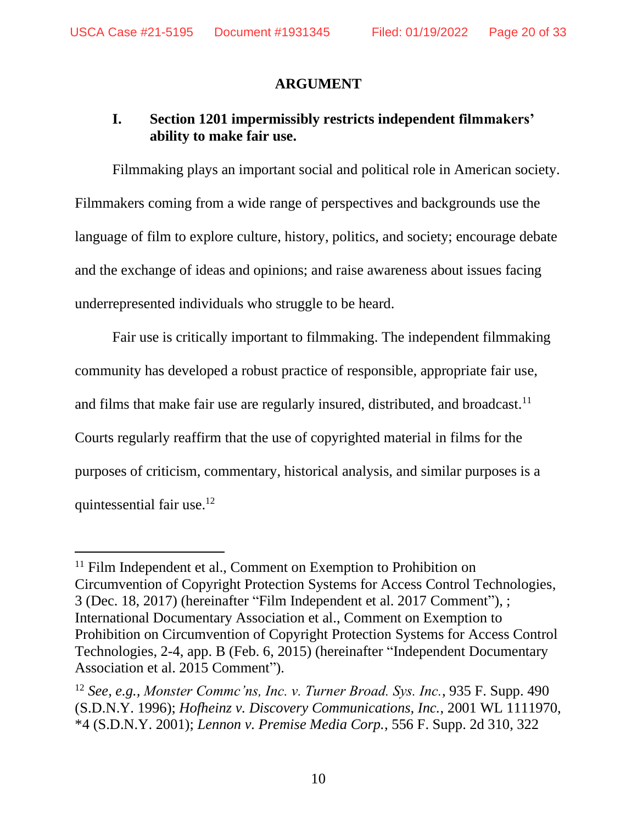#### **ARGUMENT**

# <span id="page-19-1"></span><span id="page-19-0"></span>**I. Section 1201 impermissibly restricts independent filmmakers' ability to make fair use.**

Filmmaking plays an important social and political role in American society. Filmmakers coming from a wide range of perspectives and backgrounds use the language of film to explore culture, history, politics, and society; encourage debate and the exchange of ideas and opinions; and raise awareness about issues facing underrepresented individuals who struggle to be heard.

Fair use is critically important to filmmaking. The independent filmmaking community has developed a robust practice of responsible, appropriate fair use, and films that make fair use are regularly insured, distributed, and broadcast.<sup>11</sup> Courts regularly reaffirm that the use of copyrighted material in films for the purposes of criticism, commentary, historical analysis, and similar purposes is a quintessential fair use. 12

 $11$  Film Independent et al., Comment on Exemption to Prohibition on Circumvention of Copyright Protection Systems for Access Control Technologies, 3 (Dec. 18, 2017) (hereinafter "Film Independent et al. 2017 Comment"), ; International Documentary Association et al., Comment on Exemption to Prohibition on Circumvention of Copyright Protection Systems for Access Control Technologies, 2-4, app. B (Feb. 6, 2015) (hereinafter "Independent Documentary Association et al. 2015 Comment").

<sup>12</sup> *See, e.g., Monster Commc'ns, Inc. v. Turner Broad. Sys. Inc.*, 935 F. Supp. 490 (S.D.N.Y. 1996); *Hofheinz v. Discovery Communications, Inc.*, 2001 WL 1111970, \*4 (S.D.N.Y. 2001); *Lennon v. Premise Media Corp.*, 556 F. Supp. 2d 310, 322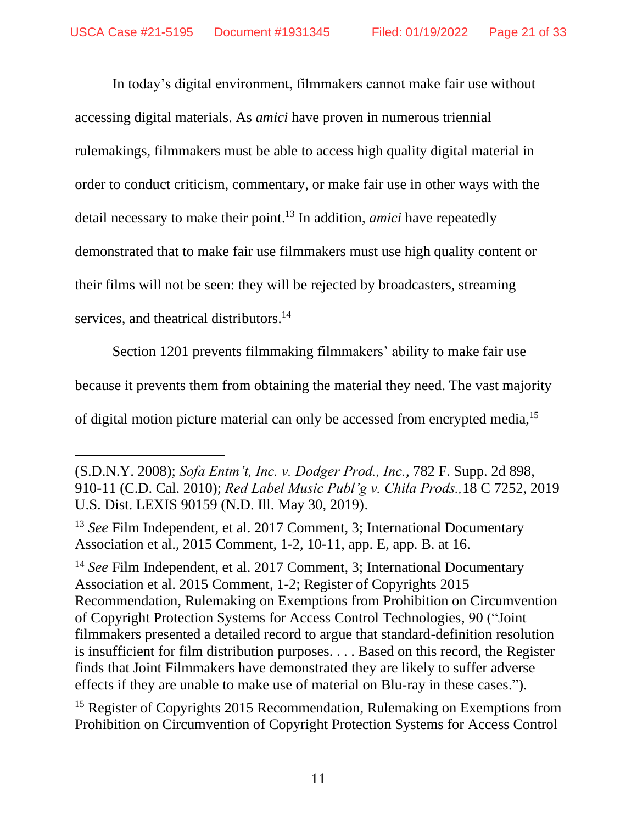In today's digital environment, filmmakers cannot make fair use without accessing digital materials. As *amici* have proven in numerous triennial rulemakings, filmmakers must be able to access high quality digital material in order to conduct criticism, commentary, or make fair use in other ways with the detail necessary to make their point. <sup>13</sup> In addition, *amici* have repeatedly demonstrated that to make fair use filmmakers must use high quality content or their films will not be seen: they will be rejected by broadcasters, streaming services, and theatrical distributors.<sup>14</sup>

Section 1201 prevents filmmaking filmmakers' ability to make fair use because it prevents them from obtaining the material they need. The vast majority of digital motion picture material can only be accessed from encrypted media,<sup>15</sup>

<sup>13</sup> *See* Film Independent, et al. 2017 Comment, 3; International Documentary Association et al., 2015 Comment, 1-2, 10-11, app. E, app. B. at 16.

<sup>14</sup> *See* Film Independent, et al. 2017 Comment, 3; International Documentary Association et al. 2015 Comment, 1-2; Register of Copyrights 2015 Recommendation, Rulemaking on Exemptions from Prohibition on Circumvention of Copyright Protection Systems for Access Control Technologies, 90 ("Joint filmmakers presented a detailed record to argue that standard-definition resolution is insufficient for film distribution purposes. . . . Based on this record, the Register finds that Joint Filmmakers have demonstrated they are likely to suffer adverse effects if they are unable to make use of material on Blu-ray in these cases.").

<sup>15</sup> Register of Copyrights 2015 Recommendation, Rulemaking on Exemptions from Prohibition on Circumvention of Copyright Protection Systems for Access Control

<sup>(</sup>S.D.N.Y. 2008); *Sofa Entm't, Inc. v. Dodger Prod., Inc.*, 782 F. Supp. 2d 898, 910-11 (C.D. Cal. 2010); *Red Label Music Publ'g v. Chila Prods.,*18 C 7252, 2019 U.S. Dist. LEXIS 90159 (N.D. Ill. May 30, 2019).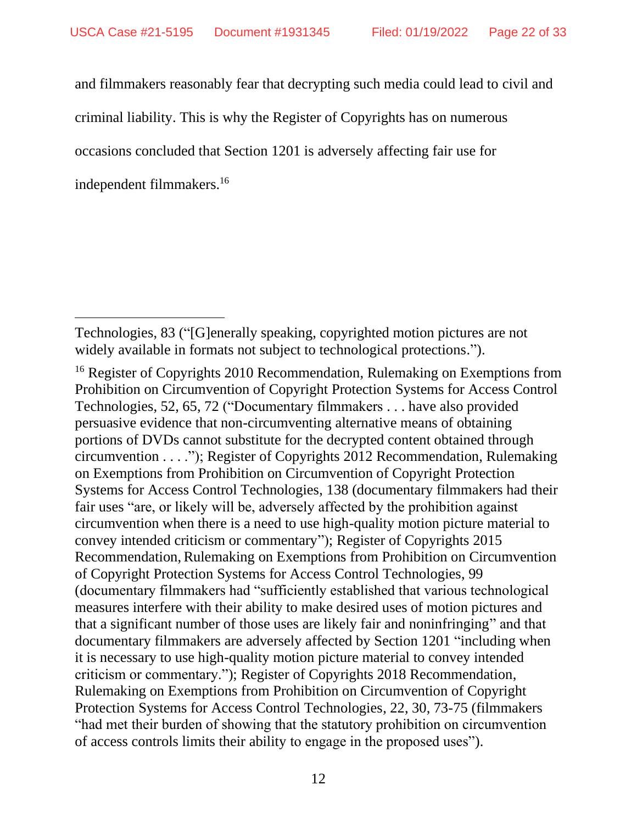and filmmakers reasonably fear that decrypting such media could lead to civil and

criminal liability. This is why the Register of Copyrights has on numerous

occasions concluded that Section 1201 is adversely affecting fair use for

independent filmmakers. 16

Technologies, 83 ("[G]enerally speaking, copyrighted motion pictures are not widely available in formats not subject to technological protections.").

<sup>&</sup>lt;sup>16</sup> Register of Copyrights 2010 Recommendation, Rulemaking on Exemptions from Prohibition on Circumvention of Copyright Protection Systems for Access Control Technologies, 52, 65, 72 ("Documentary filmmakers . . . have also provided persuasive evidence that non-circumventing alternative means of obtaining portions of DVDs cannot substitute for the decrypted content obtained through circumvention . . . ."); Register of Copyrights 2012 Recommendation, Rulemaking on Exemptions from Prohibition on Circumvention of Copyright Protection Systems for Access Control Technologies, 138 (documentary filmmakers had their fair uses "are, or likely will be, adversely affected by the prohibition against circumvention when there is a need to use high-quality motion picture material to convey intended criticism or commentary"); Register of Copyrights 2015 Recommendation,Rulemaking on Exemptions from Prohibition on Circumvention of Copyright Protection Systems for Access Control Technologies, 99 (documentary filmmakers had "sufficiently established that various technological measures interfere with their ability to make desired uses of motion pictures and that a significant number of those uses are likely fair and noninfringing" and that documentary filmmakers are adversely affected by Section 1201 "including when it is necessary to use high-quality motion picture material to convey intended criticism or commentary."); Register of Copyrights 2018 Recommendation, Rulemaking on Exemptions from Prohibition on Circumvention of Copyright Protection Systems for Access Control Technologies, 22, 30, 73-75 (filmmakers "had met their burden of showing that the statutory prohibition on circumvention of access controls limits their ability to engage in the proposed uses").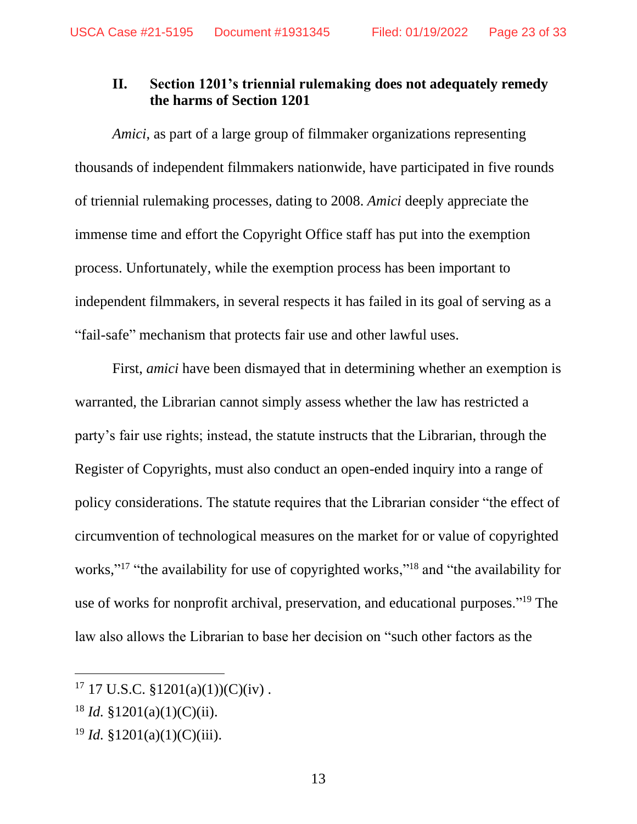### <span id="page-22-0"></span>**II. Section 1201's triennial rulemaking does not adequately remedy the harms of Section 1201**

*Amici*, as part of a large group of filmmaker organizations representing thousands of independent filmmakers nationwide, have participated in five rounds of triennial rulemaking processes, dating to 2008. *Amici* deeply appreciate the immense time and effort the Copyright Office staff has put into the exemption process. Unfortunately, while the exemption process has been important to independent filmmakers, in several respects it has failed in its goal of serving as a "fail-safe" mechanism that protects fair use and other lawful uses.

First, *amici* have been dismayed that in determining whether an exemption is warranted, the Librarian cannot simply assess whether the law has restricted a party's fair use rights; instead, the statute instructs that the Librarian, through the Register of Copyrights, must also conduct an open-ended inquiry into a range of policy considerations. The statute requires that the Librarian consider "the effect of circumvention of technological measures on the market for or value of copyrighted works,"<sup>17</sup> "the availability for use of copyrighted works,"<sup>18</sup> and "the availability for use of works for nonprofit archival, preservation, and educational purposes."<sup>19</sup> The law also allows the Librarian to base her decision on "such other factors as the

<sup>&</sup>lt;sup>17</sup> 17 U.S.C. §1201(a)(1))(C)(iv).

 $18$  *Id.*  $\frac{$1201(a)(1)(C)(ii)}{i}$ .

<sup>19</sup> *Id.* §1201(a)(1)(C)(iii).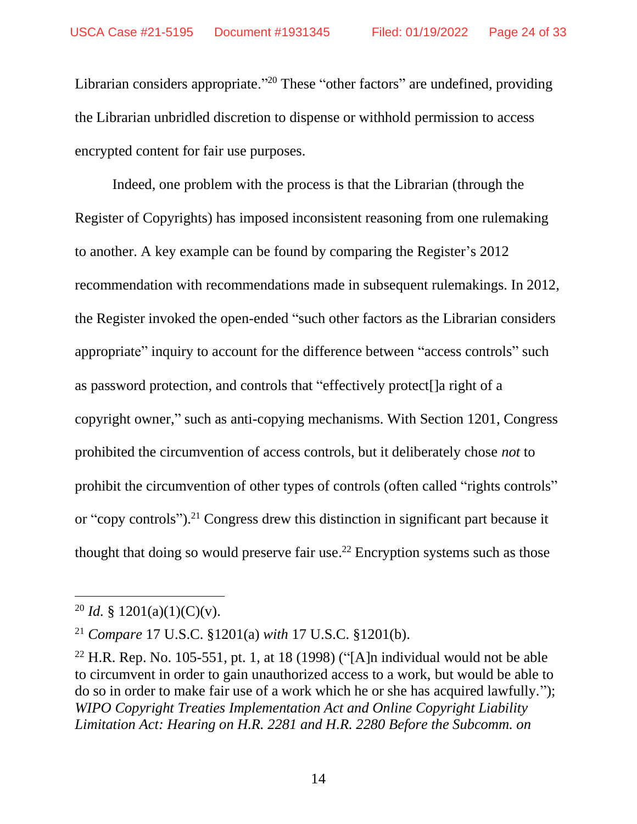Librarian considers appropriate."<sup>20</sup> These "other factors" are undefined, providing the Librarian unbridled discretion to dispense or withhold permission to access encrypted content for fair use purposes.

Indeed, one problem with the process is that the Librarian (through the Register of Copyrights) has imposed inconsistent reasoning from one rulemaking to another. A key example can be found by comparing the Register's 2012 recommendation with recommendations made in subsequent rulemakings. In 2012, the Register invoked the open-ended "such other factors as the Librarian considers appropriate" inquiry to account for the difference between "access controls" such as password protection, and controls that "effectively protect[]a right of a copyright owner," such as anti-copying mechanisms. With Section 1201, Congress prohibited the circumvention of access controls, but it deliberately chose *not* to prohibit the circumvention of other types of controls (often called "rights controls" or "copy controls"). <sup>21</sup> Congress drew this distinction in significant part because it thought that doing so would preserve fair use. <sup>22</sup> Encryption systems such as those

<sup>&</sup>lt;sup>20</sup> *Id.* § 1201(a)(1)(C)(v).

<sup>21</sup> *Compare* 17 U.S.C. §1201(a) *with* 17 U.S.C. §1201(b).

<sup>&</sup>lt;sup>22</sup> H.R. Rep. No. 105-551, pt. 1, at 18 (1998) ("[A]n individual would not be able to circumvent in order to gain unauthorized access to a work, but would be able to do so in order to make fair use of a work which he or she has acquired lawfully."); *WIPO Copyright Treaties Implementation Act and Online Copyright Liability Limitation Act: Hearing on H.R. 2281 and H.R. 2280 Before the Subcomm. on*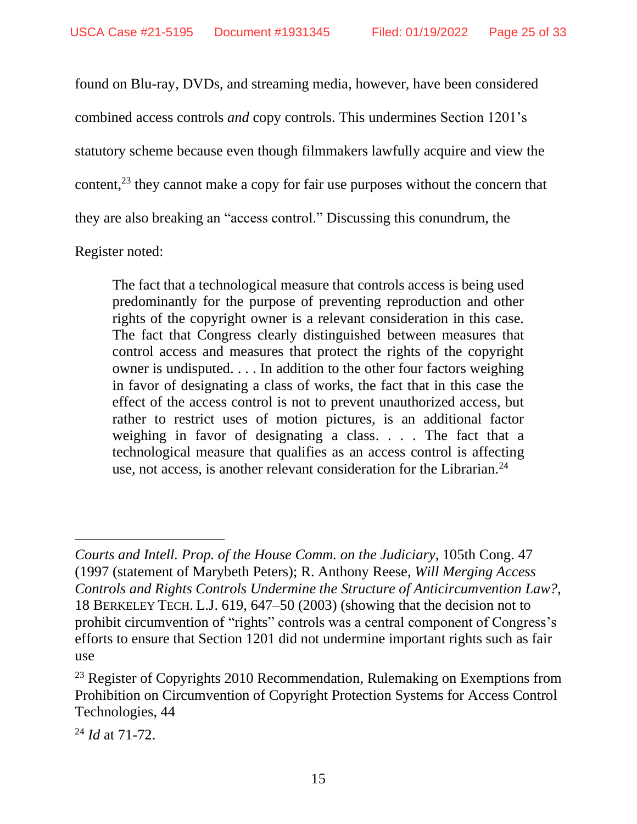found on Blu-ray, DVDs, and streaming media, however, have been considered combined access controls *and* copy controls. This undermines Section 1201's statutory scheme because even though filmmakers lawfully acquire and view the content, $^{23}$  they cannot make a copy for fair use purposes without the concern that they are also breaking an "access control." Discussing this conundrum, the

Register noted:

The fact that a technological measure that controls access is being used predominantly for the purpose of preventing reproduction and other rights of the copyright owner is a relevant consideration in this case. The fact that Congress clearly distinguished between measures that control access and measures that protect the rights of the copyright owner is undisputed. . . . In addition to the other four factors weighing in favor of designating a class of works, the fact that in this case the effect of the access control is not to prevent unauthorized access, but rather to restrict uses of motion pictures, is an additional factor weighing in favor of designating a class. . . . The fact that a technological measure that qualifies as an access control is affecting use, not access, is another relevant consideration for the Librarian.<sup>24</sup>

*Courts and Intell. Prop. of the House Comm. on the Judiciary*, 105th Cong. 47 (1997 (statement of Marybeth Peters); R. Anthony Reese, *Will Merging Access Controls and Rights Controls Undermine the Structure of Anticircumvention Law?*, 18 BERKELEY TECH. L.J. 619, 647–50 (2003) (showing that the decision not to prohibit circumvention of "rights" controls was a central component of Congress's efforts to ensure that Section 1201 did not undermine important rights such as fair use

<sup>&</sup>lt;sup>23</sup> Register of Copyrights 2010 Recommendation, Rulemaking on Exemptions from Prohibition on Circumvention of Copyright Protection Systems for Access Control Technologies, 44

<sup>24</sup> *Id* at 71-72.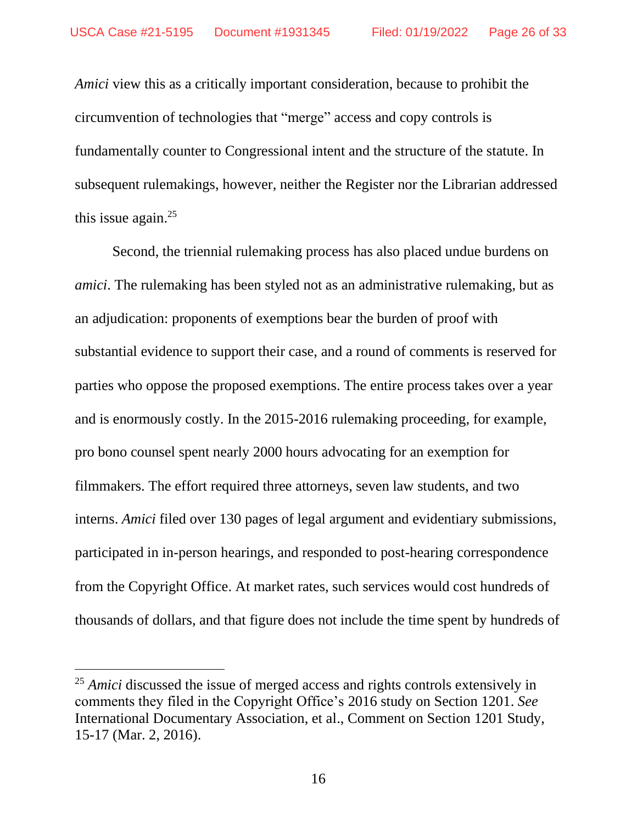*Amici* view this as a critically important consideration, because to prohibit the circumvention of technologies that "merge" access and copy controls is fundamentally counter to Congressional intent and the structure of the statute. In subsequent rulemakings, however, neither the Register nor the Librarian addressed this issue again. 25

Second, the triennial rulemaking process has also placed undue burdens on *amici*. The rulemaking has been styled not as an administrative rulemaking, but as an adjudication: proponents of exemptions bear the burden of proof with substantial evidence to support their case, and a round of comments is reserved for parties who oppose the proposed exemptions. The entire process takes over a year and is enormously costly. In the 2015-2016 rulemaking proceeding, for example, pro bono counsel spent nearly 2000 hours advocating for an exemption for filmmakers. The effort required three attorneys, seven law students, and two interns. *Amici* filed over 130 pages of legal argument and evidentiary submissions, participated in in-person hearings, and responded to post-hearing correspondence from the Copyright Office. At market rates, such services would cost hundreds of thousands of dollars, and that figure does not include the time spent by hundreds of

<sup>&</sup>lt;sup>25</sup> *Amici* discussed the issue of merged access and rights controls extensively in comments they filed in the Copyright Office's 2016 study on Section 1201. *See*  International Documentary Association, et al., Comment on Section 1201 Study, 15-17 (Mar. 2, 2016).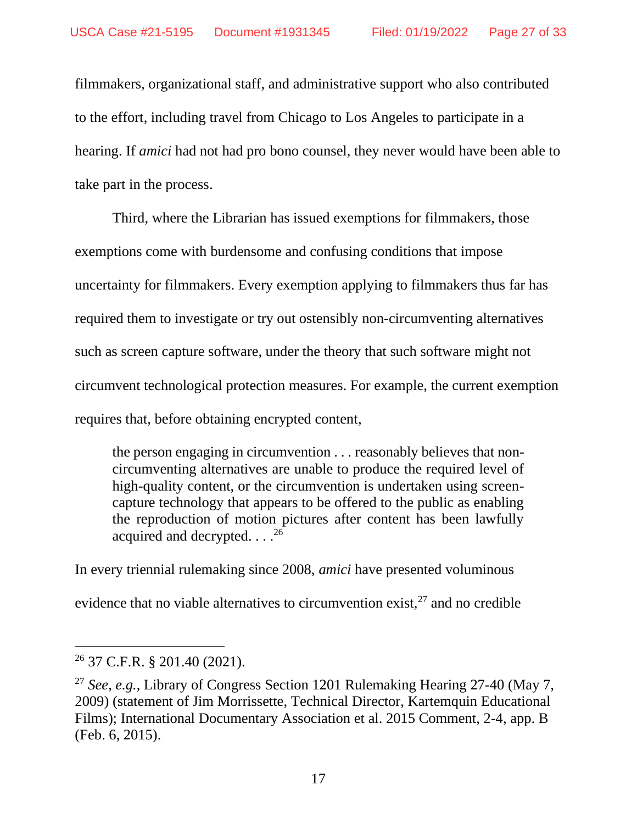filmmakers, organizational staff, and administrative support who also contributed to the effort, including travel from Chicago to Los Angeles to participate in a hearing. If *amici* had not had pro bono counsel, they never would have been able to take part in the process.

Third, where the Librarian has issued exemptions for filmmakers, those exemptions come with burdensome and confusing conditions that impose uncertainty for filmmakers. Every exemption applying to filmmakers thus far has required them to investigate or try out ostensibly non-circumventing alternatives such as screen capture software, under the theory that such software might not circumvent technological protection measures. For example, the current exemption requires that, before obtaining encrypted content,

the person engaging in circumvention . . . reasonably believes that noncircumventing alternatives are unable to produce the required level of high-quality content, or the circumvention is undertaken using screencapture technology that appears to be offered to the public as enabling the reproduction of motion pictures after content has been lawfully acquired and decrypted. . . .<sup>26</sup>

In every triennial rulemaking since 2008, *amici* have presented voluminous evidence that no viable alternatives to circumvention exist, $27$  and no credible

<sup>26</sup> 37 C.F.R. § 201.40 (2021).

<sup>27</sup> *See, e.g.*, Library of Congress Section 1201 Rulemaking Hearing 27-40 (May 7, 2009) (statement of Jim Morrissette, Technical Director, Kartemquin Educational Films); International Documentary Association et al. 2015 Comment, 2-4, app. B (Feb. 6, 2015).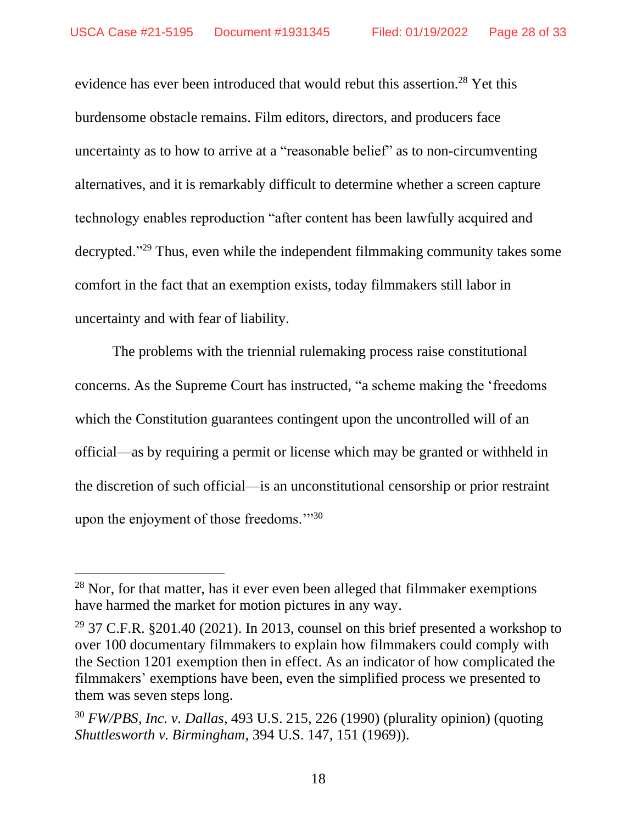evidence has ever been introduced that would rebut this assertion. <sup>28</sup> Yet this burdensome obstacle remains. Film editors, directors, and producers face uncertainty as to how to arrive at a "reasonable belief" as to non-circumventing alternatives, and it is remarkably difficult to determine whether a screen capture technology enables reproduction "after content has been lawfully acquired and decrypted."<sup>29</sup> Thus, even while the independent filmmaking community takes some comfort in the fact that an exemption exists, today filmmakers still labor in uncertainty and with fear of liability.

The problems with the triennial rulemaking process raise constitutional concerns. As the Supreme Court has instructed, "a scheme making the 'freedoms which the Constitution guarantees contingent upon the uncontrolled will of an official—as by requiring a permit or license which may be granted or withheld in the discretion of such official—is an unconstitutional censorship or prior restraint upon the enjoyment of those freedoms."<sup>30</sup>

 $^{28}$  Nor, for that matter, has it ever even been alleged that filmmaker exemptions have harmed the market for motion pictures in any way.

<sup>&</sup>lt;sup>29</sup> 37 C.F.R. §201.40 (2021). In 2013, counsel on this brief presented a workshop to over 100 documentary filmmakers to explain how filmmakers could comply with the Section 1201 exemption then in effect. As an indicator of how complicated the filmmakers' exemptions have been, even the simplified process we presented to them was seven steps long.

<sup>30</sup> *FW/PBS, Inc. v. Dallas*, 493 U.S. 215, 226 (1990) (plurality opinion) (quoting *Shuttlesworth v. Birmingham*, 394 U.S. 147, 151 (1969)).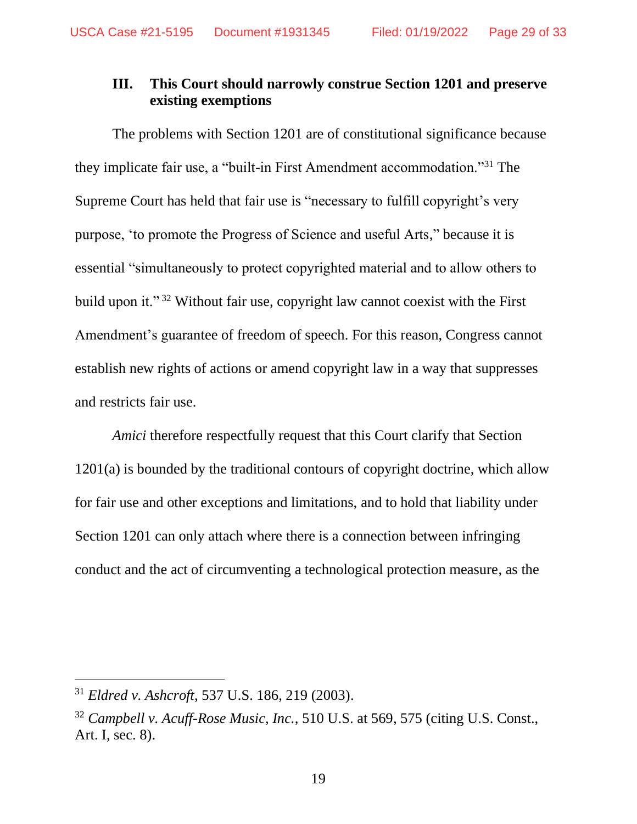### <span id="page-28-0"></span>**III. This Court should narrowly construe Section 1201 and preserve existing exemptions**

The problems with Section 1201 are of constitutional significance because they implicate fair use, a "built-in First Amendment accommodation."<sup>31</sup> The Supreme Court has held that fair use is "necessary to fulfill copyright's very purpose, 'to promote the Progress of Science and useful Arts," because it is essential "simultaneously to protect copyrighted material and to allow others to build upon it." <sup>32</sup> Without fair use, copyright law cannot coexist with the First Amendment's guarantee of freedom of speech. For this reason, Congress cannot establish new rights of actions or amend copyright law in a way that suppresses and restricts fair use.

*Amici* therefore respectfully request that this Court clarify that Section 1201(a) is bounded by the traditional contours of copyright doctrine, which allow for fair use and other exceptions and limitations, and to hold that liability under Section 1201 can only attach where there is a connection between infringing conduct and the act of circumventing a technological protection measure, as the

<sup>31</sup> *Eldred v. Ashcroft*, 537 U.S. 186, 219 (2003).

<sup>32</sup> *Campbell v. Acuff-Rose Music, Inc.*, 510 U.S. at 569, 575 (citing U.S. Const., Art. I, sec. 8).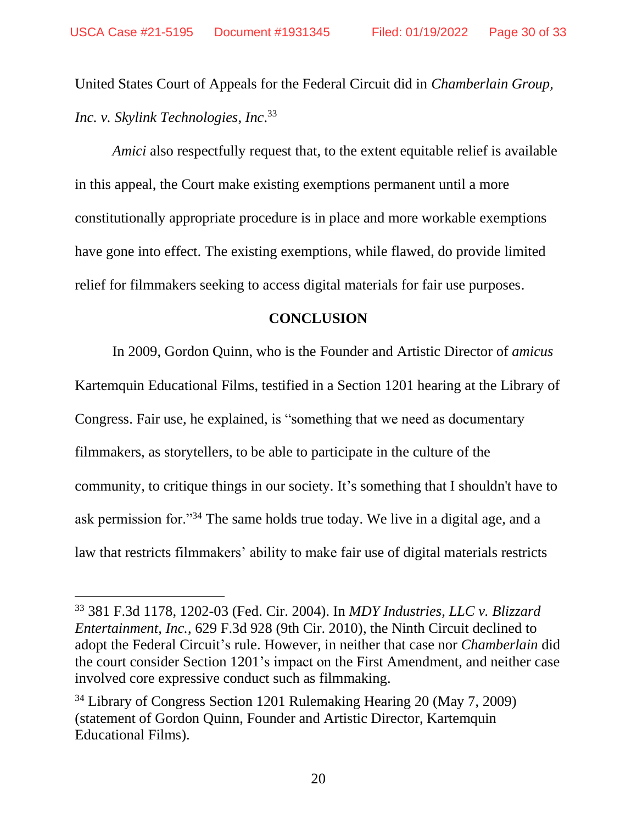United States Court of Appeals for the Federal Circuit did in *Chamberlain Group, Inc. v. Skylink Technologies, Inc*. 33

*Amici* also respectfully request that, to the extent equitable relief is available in this appeal, the Court make existing exemptions permanent until a more constitutionally appropriate procedure is in place and more workable exemptions have gone into effect. The existing exemptions, while flawed, do provide limited relief for filmmakers seeking to access digital materials for fair use purposes.

#### **CONCLUSION**

<span id="page-29-0"></span>In 2009, Gordon Quinn, who is the Founder and Artistic Director of *amicus*  Kartemquin Educational Films, testified in a Section 1201 hearing at the Library of Congress. Fair use, he explained, is "something that we need as documentary filmmakers, as storytellers, to be able to participate in the culture of the community, to critique things in our society. It's something that I shouldn't have to ask permission for."<sup>34</sup> The same holds true today. We live in a digital age, and a law that restricts filmmakers' ability to make fair use of digital materials restricts

<sup>33</sup> 381 F.3d 1178, 1202-03 (Fed. Cir. 2004). In *MDY Industries, LLC v. Blizzard Entertainment, Inc.*, 629 F.3d 928 (9th Cir. 2010), the Ninth Circuit declined to adopt the Federal Circuit's rule. However, in neither that case nor *Chamberlain* did the court consider Section 1201's impact on the First Amendment, and neither case involved core expressive conduct such as filmmaking.

<sup>34</sup> Library of Congress Section 1201 Rulemaking Hearing 20 (May 7, 2009) (statement of Gordon Quinn, Founder and Artistic Director, Kartemquin Educational Films).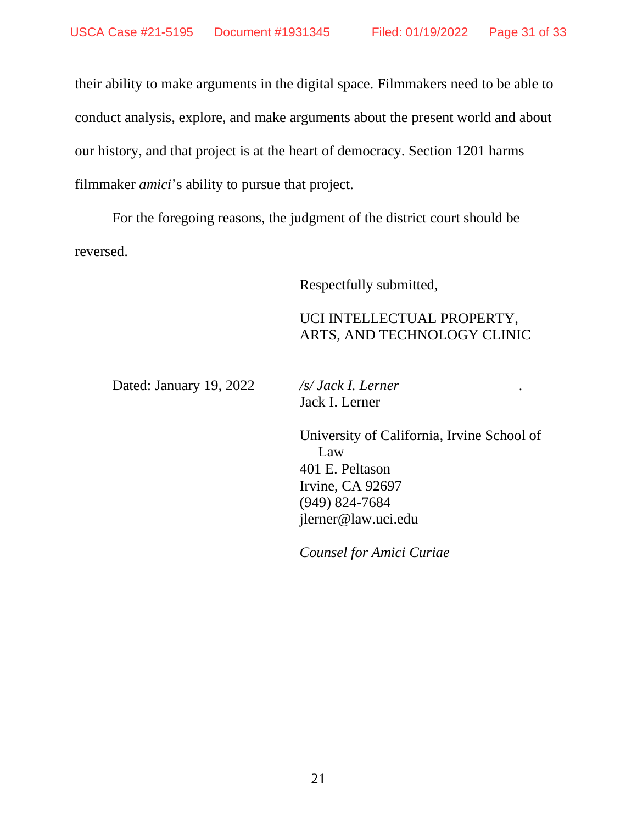their ability to make arguments in the digital space. Filmmakers need to be able to conduct analysis, explore, and make arguments about the present world and about our history, and that project is at the heart of democracy. Section 1201 harms filmmaker *amici*'s ability to pursue that project.

For the foregoing reasons, the judgment of the district court should be reversed.

Respectfully submitted,

### UCI INTELLECTUAL PROPERTY, ARTS, AND TECHNOLOGY CLINIC

Dated: January 19, 2022 */s/ Jack I. Lerner .* Jack I. Lerner

> University of California, Irvine School of Law 401 E. Peltason Irvine, CA 92697 (949) 824-7684 jlerner@law.uci.edu

*Counsel for Amici Curiae*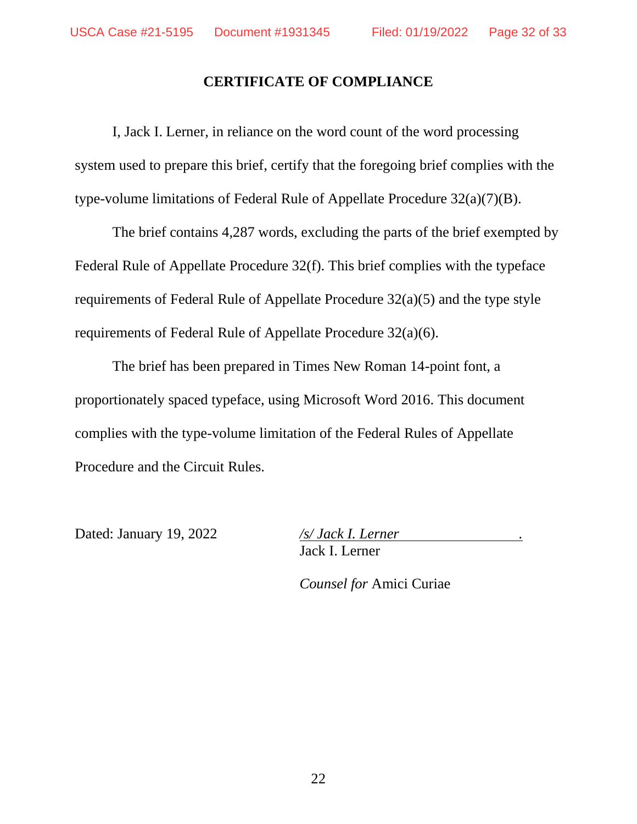### **CERTIFICATE OF COMPLIANCE**

<span id="page-31-0"></span>I, Jack I. Lerner, in reliance on the word count of the word processing system used to prepare this brief, certify that the foregoing brief complies with the type-volume limitations of Federal Rule of Appellate Procedure 32(a)(7)(B).

The brief contains 4,287 words, excluding the parts of the brief exempted by Federal Rule of Appellate Procedure 32(f). This brief complies with the typeface requirements of Federal Rule of Appellate Procedure 32(a)(5) and the type style requirements of Federal Rule of Appellate Procedure 32(a)(6).

The brief has been prepared in Times New Roman 14-point font, a proportionately spaced typeface, using Microsoft Word 2016. This document complies with the type-volume limitation of the Federal Rules of Appellate Procedure and the Circuit Rules.

Dated: January 19, 2022 */s/ Jack I. Lerner .*

Jack I. Lerner

*Counsel for* Amici Curiae